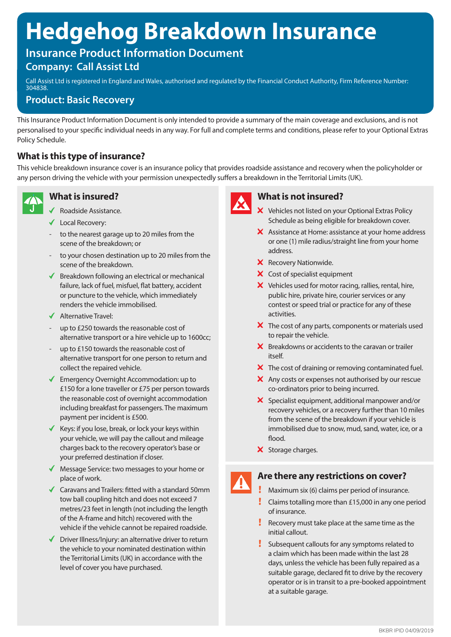# **Hedgehog Breakdown Insurance**

# **Insurance Product Information Document**

## **Company: Call Assist Ltd**

Call Assist Ltd is registered in England and Wales, authorised and regulated by the Financial Conduct Authority, Firm Reference Number: 304838.

## **Product: Basic Recovery**

This Insurance Product Information Document is only intended to provide a summary of the main coverage and exclusions, and is not personalised to your specific individual needs in any way. For full and complete terms and conditions, please refer to your Optional Extras Policy Schedule.

## **What is this type of insurance?**

This vehicle breakdown insurance cover is an insurance policy that provides roadside assistance and recovery when the policyholder or any person driving the vehicle with your permission unexpectedly suffers a breakdown in the Territorial Limits (UK).



## **What is insured?**

- Roadside Assistance.
- Local Recovery:
- to the nearest garage up to 20 miles from the scene of the breakdown; or
- to your chosen destination up to 20 miles from the scene of the breakdown.
- $\blacklozenge$  Breakdown following an electrical or mechanical failure, lack of fuel, misfuel, flat battery, accident or puncture to the vehicle, which immediately renders the vehicle immobilised.
- $\blacklozenge$  Alternative Travel:
- up to £250 towards the reasonable cost of alternative transport or a hire vehicle up to 1600cc;
- up to £150 towards the reasonable cost of alternative transport for one person to return and collect the repaired vehicle.
- $\blacklozenge$  Emergency Overnight Accommodation: up to £150 for a lone traveller or £75 per person towards the reasonable cost of overnight accommodation including breakfast for passengers. The maximum payment per incident is £500.
- $\checkmark$  Keys: if you lose, break, or lock your keys within your vehicle, we will pay the callout and mileage charges back to the recovery operator's base or your preferred destination if closer.
- ◆ Message Service: two messages to your home or place of work.
- $\triangleleft$  Caravans and Trailers: fitted with a standard 50mm tow ball coupling hitch and does not exceed 7 metres/23 feet in length (not including the length of the A-frame and hitch) recovered with the vehicle if the vehicle cannot be repaired roadside.
- $\triangledown$  Driver Illness/Injury: an alternative driver to return the vehicle to your nominated destination within the Territorial Limits (UK) in accordance with the level of cover you have purchased.



#### **What is not insured?**

- $\mathsf{\times}\,$  Vehicles not listed on your Optional Extras Policy Schedule as being eligible for breakdown cover.
- X Assistance at Home: assistance at your home address or one (1) mile radius/straight line from your home address.
- X Recovery Nationwide.
- X Cost of specialist equipment
- X Vehicles used for motor racing, rallies, rental, hire, public hire, private hire, courier services or any contest or speed trial or practice for any of these activities.
- $\boldsymbol{\times}$  The cost of any parts, components or materials used to repair the vehicle.
- $\boldsymbol{\times}$  Breakdowns or accidents to the caravan or trailer itself.
- $\boldsymbol{X}$  The cost of draining or removing contaminated fuel.
- X Any costs or expenses not authorised by our rescue co-ordinators prior to being incurred.
- $\boldsymbol{\times}$  Specialist equipment, additional manpower and/or recovery vehicles, or a recovery further than 10 miles from the scene of the breakdown if your vehicle is immobilised due to snow, mud, sand, water, ice, or a flood.
- X Storage charges.

#### **Are there any restrictions on cover?**

- Maximum six (6) claims per period of insurance.
- Claims totalling more than £15,000 in any one period of insurance.
- Recovery must take place at the same time as the initial callout.
- Subsequent callouts for any symptoms related to a claim which has been made within the last 28 days, unless the vehicle has been fully repaired as a suitable garage, declared fit to drive by the recovery operator or is in transit to a pre-booked appointment at a suitable garage.